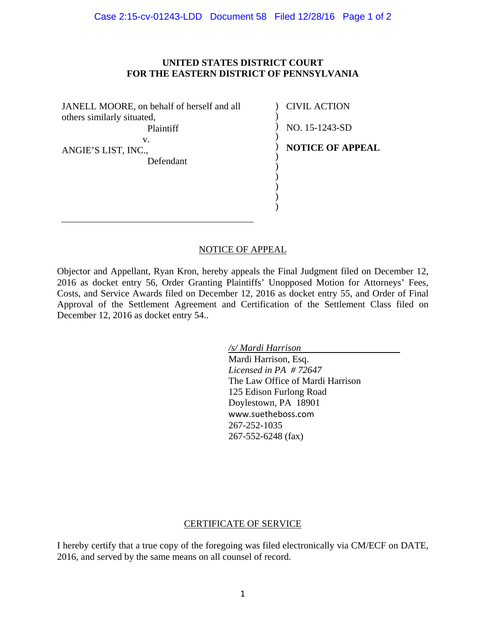## **UNITED STATES DISTRICT COURT FOR THE EASTERN DISTRICT OF PENNSYLVANIA**

JANELL MOORE, on behalf of herself and all others similarly situated, Plaintiff v.

ANGIE'S LIST, INC., Defendant

) CIVIL ACTION )  $\overline{)}$ 

NO. 15-1243-SD

) ) ) ) ) ) ) )

**NOTICE OF APPEAL**

## NOTICE OF APPEAL

Objector and Appellant, Ryan Kron, hereby appeals the Final Judgment filed on December 12, 2016 as docket entry 56, Order Granting Plaintiffs' Unopposed Motion for Attorneys' Fees, Costs, and Service Awards filed on December 12, 2016 as docket entry 55, and Order of Final Approval of the Settlement Agreement and Certification of the Settlement Class filed on December 12, 2016 as docket entry 54..

> */s/ Mardi Harrison*  Mardi Harrison, Esq. *Licensed in PA # 72647* The Law Office of Mardi Harrison 125 Edison Furlong Road Doylestown, PA 18901 www.suetheboss.com 267-252-1035 267-552-6248 (fax)

## CERTIFICATE OF SERVICE

I hereby certify that a true copy of the foregoing was filed electronically via CM/ECF on DATE, 2016, and served by the same means on all counsel of record.